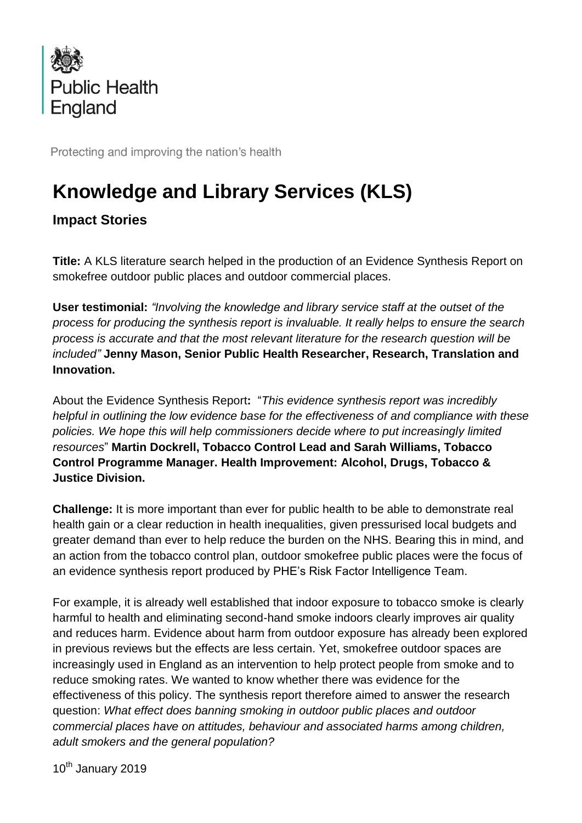

Protecting and improving the nation's health

## **Knowledge and Library Services (KLS)**

**Impact Stories**

**Title:** A KLS literature search helped in the production of an Evidence Synthesis Report on smokefree outdoor public places and outdoor commercial places.

**User testimonial:** *"Involving the knowledge and library service staff at the outset of the process for producing the synthesis report is invaluable. It really helps to ensure the search process is accurate and that the most relevant literature for the research question will be included"* **Jenny Mason, Senior Public Health Researcher, Research, Translation and Innovation.**

About the Evidence Synthesis Report**:** "*This evidence synthesis report was incredibly helpful in outlining the low evidence base for the effectiveness of and compliance with these policies. We hope this will help commissioners decide where to put increasingly limited resources*" **Martin Dockrell, Tobacco Control Lead and Sarah Williams, Tobacco Control Programme Manager. Health Improvement: Alcohol, Drugs, Tobacco & Justice Division.**

**Challenge:** It is more important than ever for public health to be able to demonstrate real health gain or a clear reduction in health inequalities, given pressurised local budgets and greater demand than ever to help reduce the burden on the NHS. Bearing this in mind, and an action from the tobacco control plan, outdoor smokefree public places were the focus of an evidence synthesis report produced by PHE's Risk Factor Intelligence Team.

For example, it is already well established that indoor exposure to tobacco smoke is clearly harmful to health and eliminating second-hand smoke indoors clearly improves air quality and reduces harm. Evidence about harm from outdoor exposure has already been explored in previous reviews but the effects are less certain. Yet, smokefree outdoor spaces are increasingly used in England as an intervention to help protect people from smoke and to reduce smoking rates. We wanted to know whether there was evidence for the effectiveness of this policy. The synthesis report therefore aimed to answer the research question: *What effect does banning smoking in outdoor public places and outdoor commercial places have on attitudes, behaviour and associated harms among children, adult smokers and the general population?*

 $10^{th}$  January 2019